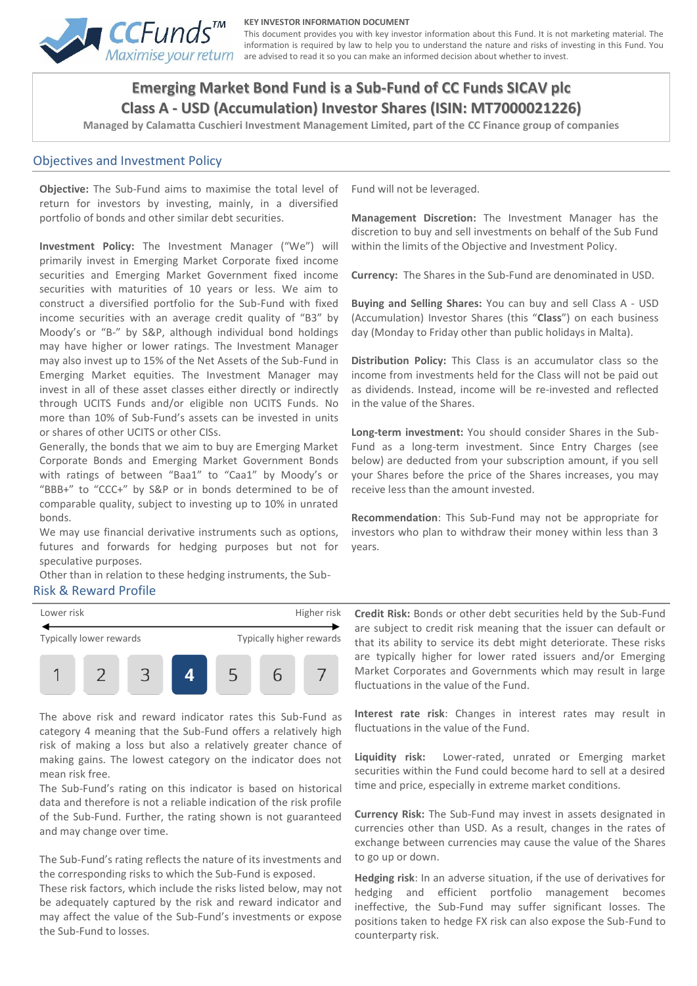

#### **KEY INVESTOR INFORMATION DOCUMENT**

This document provides you with key investor information about this Fund. It is not marketing material. The information is required by law to help you to understand the nature and risks of investing in this Fund. You Maximise your return are advised to read it so you can make an informed decision about whether to invest.

# **Emerging Market Bond Fund is a Sub-Fund of CC Funds SICAV plc Class A - USD (Accumulation) Investor Shares (ISIN: MT7000021226)**

**Managed by Calamatta Cuschieri Investment Management Limited, part of the CC Finance group of companies**

#### Objectives and Investment Policy

**Objective:** The Sub-Fund aims to maximise the total level of return for investors by investing, mainly, in a diversified portfolio of bonds and other similar debt securities.

**Investment Policy:** The Investment Manager ("We") will primarily invest in Emerging Market Corporate fixed income securities and Emerging Market Government fixed income securities with maturities of 10 years or less. We aim to construct a diversified portfolio for the Sub-Fund with fixed income securities with an average credit quality of "B3" by Moody's or "B-" by S&P, although individual bond holdings may have higher or lower ratings. The Investment Manager may also invest up to 15% of the Net Assets of the Sub-Fund in Emerging Market equities. The Investment Manager may invest in all of these asset classes either directly or indirectly through UCITS Funds and/or eligible non UCITS Funds. No more than 10% of Sub-Fund's assets can be invested in units or shares of other UCITS or other CISs.

Generally, the bonds that we aim to buy are Emerging Market Corporate Bonds and Emerging Market Government Bonds with ratings of between "Baa1" to "Caa1" by Moody's or "BBB+" to "CCC+" by S&P or in bonds determined to be of comparable quality, subject to investing up to 10% in unrated bonds.

We may use financial derivative instruments such as options, futures and forwards for hedging purposes but not for speculative purposes.

Other than in relation to these hedging instruments, the Sub-Risk & Reward Profile

Fund will not be leveraged.

**Management Discretion:** The Investment Manager has the discretion to buy and sell investments on behalf of the Sub Fund within the limits of the Objective and Investment Policy.

**Currency:** The Shares in the Sub-Fund are denominated in USD.

**Buying and Selling Shares:** You can buy and sell Class A - USD (Accumulation) Investor Shares (this "**Class**") on each business day (Monday to Friday other than public holidays in Malta).

**Distribution Policy:** This Class is an accumulator class so the income from investments held for the Class will not be paid out as dividends. Instead, income will be re-invested and reflected in the value of the Shares.

**Long-term investment:** You should consider Shares in the Sub-Fund as a long-term investment. Since Entry Charges (see below) are deducted from your subscription amount, if you sell your Shares before the price of the Shares increases, you may receive less than the amount invested.

**Recommendation**: This Sub-Fund may not be appropriate for investors who plan to withdraw their money within less than 3 years.



The above risk and reward indicator rates this Sub-Fund as category 4 meaning that the Sub-Fund offers a relatively high risk of making a loss but also a relatively greater chance of making gains. The lowest category on the indicator does not mean risk free.

The Sub-Fund's rating on this indicator is based on historical data and therefore is not a reliable indication of the risk profile of the Sub-Fund. Further, the rating shown is not guaranteed and may change over time.

The Sub-Fund's rating reflects the nature of its investments and the corresponding risks to which the Sub-Fund is exposed.

These risk factors, which include the risks listed below, may not be adequately captured by the risk and reward indicator and may affect the value of the Sub-Fund's investments or expose the Sub-Fund to losses.

**Credit Risk:** Bonds or other debt securities held by the Sub-Fund are subject to credit risk meaning that the issuer can default or that its ability to service its debt might deteriorate. These risks are typically higher for lower rated issuers and/or Emerging Market Corporates and Governments which may result in large fluctuations in the value of the Fund.

**Interest rate risk**: Changes in interest rates may result in fluctuations in the value of the Fund.

**Liquidity risk:** Lower-rated, unrated or Emerging market securities within the Fund could become hard to sell at a desired time and price, especially in extreme market conditions.

**Currency Risk:** The Sub-Fund may invest in assets designated in currencies other than USD. As a result, changes in the rates of exchange between currencies may cause the value of the Shares to go up or down.

**Hedging risk**: In an adverse situation, if the use of derivatives for hedging and efficient portfolio management becomes ineffective, the Sub-Fund may suffer significant losses. The positions taken to hedge FX risk can also expose the Sub-Fund to counterparty risk.